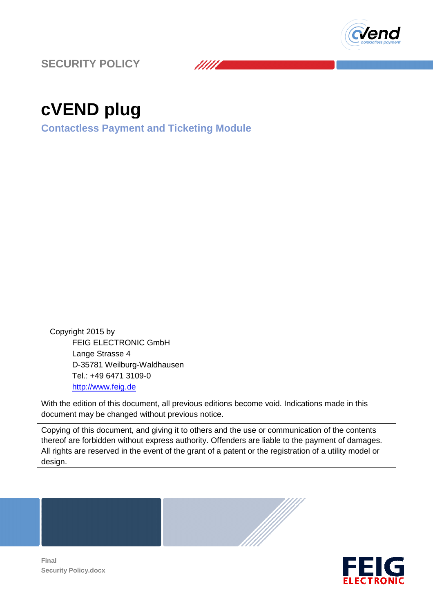

**SECURITY POLICY** 

# **cVEND plug**

**Contactless Payment and Ticketing Module**

 Copyright 2015 by FEIG ELECTRONIC GmbH Lange Strasse 4 D-35781 Weilburg-Waldhausen Tel.: +49 6471 3109-0 http://www.feig.de

With the edition of this document, all previous editions become void. Indications made in this document may be changed without previous notice.

/////

Copying of this document, and giving it to others and the use or communication of the contents thereof are forbidden without express authority. Offenders are liable to the payment of damages. All rights are reserved in the event of the grant of a patent or the registration of a utility model or design. Waldhausen<br>
9-0<br>
ment, all previous editions become void. Indications made in this<br>
without previous notice.<br>
and giving it to others and the use or communication of the contents<br>
it express authority. Offenders are liable





**Final Security Policy.docx**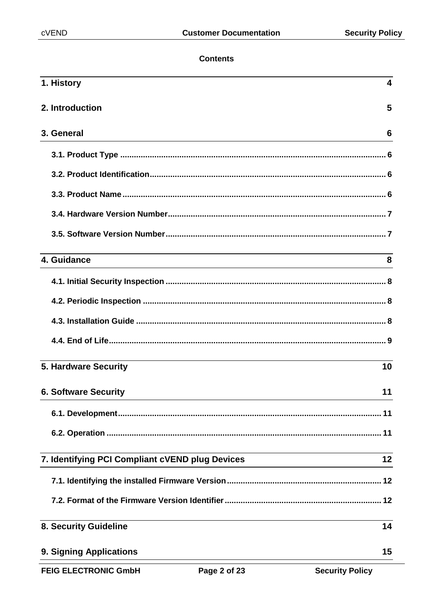## **Contents**

| 1. History                                      | 4  |
|-------------------------------------------------|----|
| 2. Introduction                                 | 5  |
| 3. General                                      | 6  |
|                                                 |    |
|                                                 |    |
|                                                 |    |
|                                                 |    |
|                                                 |    |
| 4. Guidance                                     | 8  |
|                                                 |    |
|                                                 |    |
|                                                 |    |
|                                                 |    |
| <b>5. Hardware Security</b>                     | 10 |
| <b>6. Software Security</b>                     | 11 |
|                                                 |    |
|                                                 |    |
| 7. Identifying PCI Compliant cVEND plug Devices | 12 |
|                                                 |    |
|                                                 |    |
| 8. Security Guideline                           | 14 |
| 9. Signing Applications                         | 15 |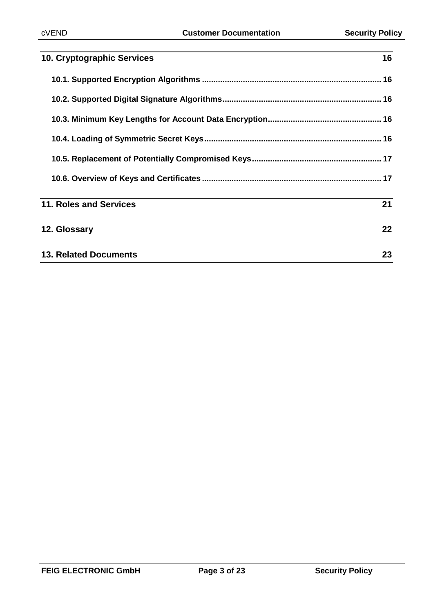| 10. Cryptographic Services   | 16 |
|------------------------------|----|
|                              |    |
|                              |    |
|                              |    |
|                              |    |
|                              |    |
|                              |    |
| 11. Roles and Services       | 21 |
| 12. Glossary                 | 22 |
| <b>13. Related Documents</b> | 23 |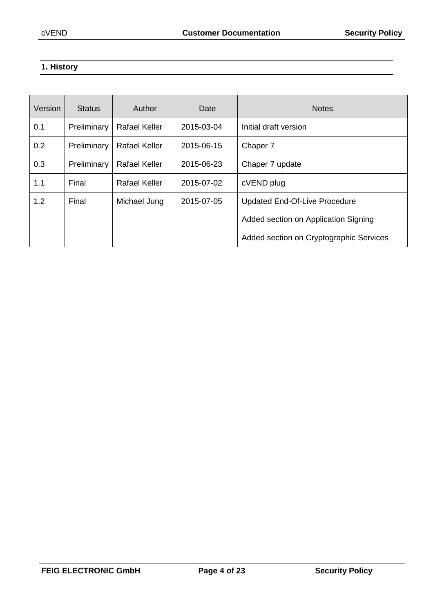## **1. History**

| Version | <b>Status</b> | Author               | Date       | <b>Notes</b>                            |
|---------|---------------|----------------------|------------|-----------------------------------------|
| 0.1     | Preliminary   | <b>Rafael Keller</b> | 2015-03-04 | Initial draft version                   |
| 0.2     | Preliminary   | <b>Rafael Keller</b> | 2015-06-15 | Chaper 7                                |
| 0.3     | Preliminary   | <b>Rafael Keller</b> | 2015-06-23 | Chaper 7 update                         |
| 1.1     | Final         | <b>Rafael Keller</b> | 2015-07-02 | cVEND plug                              |
| 1.2     | Final         | Michael Jung         | 2015-07-05 | <b>Updated End-Of-Live Procedure</b>    |
|         |               |                      |            | Added section on Application Signing    |
|         |               |                      |            | Added section on Cryptographic Services |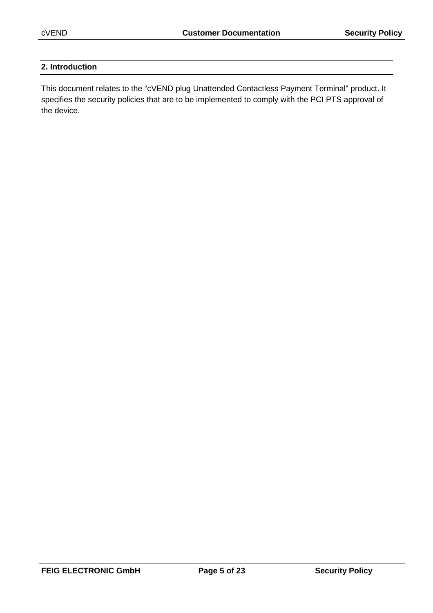## **2. Introduction**

This document relates to the "cVEND plug Unattended Contactless Payment Terminal" product. It specifies the security policies that are to be implemented to comply with the PCI PTS approval of the device.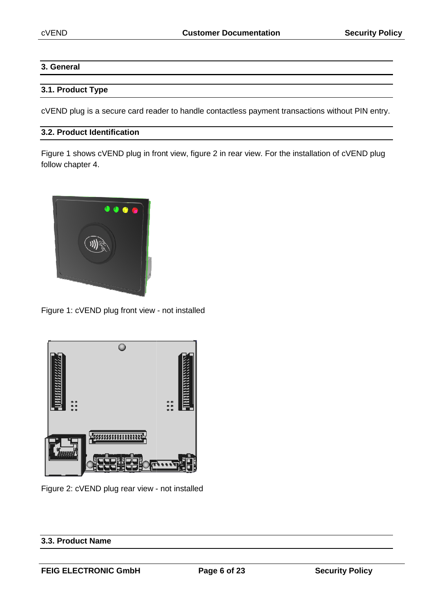## **3. General**

#### **3.1. Product Type**

cVEND plug is a secure card reader to handle contactless payment transactions without PIN PIN entry.

## **3.2. Product Identification**

Figure 1 shows cVEND plug in front view, figure 2 in rear view. For the installation of cVEND plug follow chapter 4.



Figure 1: cVEND plug front view - not installed



Figure 2: cVEND plug rear view - not installed

## **3.3. Product Name**

**FEIG ELECTRONIC GmbH**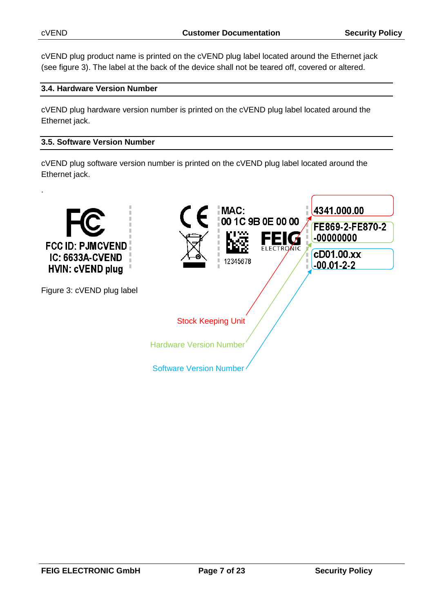cVEND plug product name is printed on the cVEND plug label located around the Ethernet jack (see figure 3). The label at the back of the device shall not be teared off, covered or altered.

## **3.4. Hardware Version Number**

cVEND plug hardware version number is printed on the cVEND plug label located around the Ethernet jack.

#### **3.5. Software Version Number**

cVEND plug software version number is printed on the cVEND plug label located around the Ethernet jack.

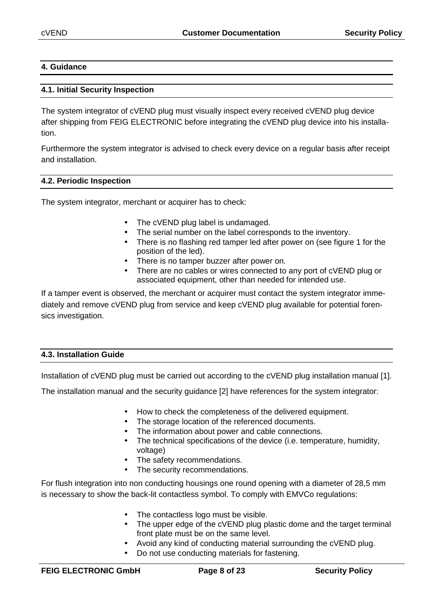#### **4. Guidance**

#### **4.1. Initial Security Inspection**

The system integrator of cVEND plug must visually inspect every received cVEND plug device after shipping from FEIG ELECTRONIC before integrating the cVEND plug device into his installation.

Furthermore the system integrator is advised to check every device on a regular basis after receipt and installation.

#### **4.2. Periodic Inspection**

The system integrator, merchant or acquirer has to check:

- The cVEND plug label is undamaged.
- The serial number on the label corresponds to the inventory.
- There is no flashing red tamper led after power on (see figure 1 for the position of the led).
- There is no tamper buzzer after power on.
- There are no cables or wires connected to any port of cVEND plug or associated equipment, other than needed for intended use.

If a tamper event is observed, the merchant or acquirer must contact the system integrator immediately and remove cVEND plug from service and keep cVEND plug available for potential forensics investigation.

## **4.3. Installation Guide**

Installation of cVEND plug must be carried out according to the cVEND plug installation manual [1].

The installation manual and the security guidance [2] have references for the system integrator:

- How to check the completeness of the delivered equipment.
- The storage location of the referenced documents.
- The information about power and cable connections.
- The technical specifications of the device (i.e. temperature, humidity, voltage)
- The safety recommendations.
- The security recommendations.

For flush integration into non conducting housings one round opening with a diameter of 28,5 mm is necessary to show the back-lit contactless symbol. To comply with EMVCo regulations:

- The contactless logo must be visible.
- The upper edge of the cVEND plug plastic dome and the target terminal front plate must be on the same level.
- Avoid any kind of conducting material surrounding the cVEND plug.
- Do not use conducting materials for fastening.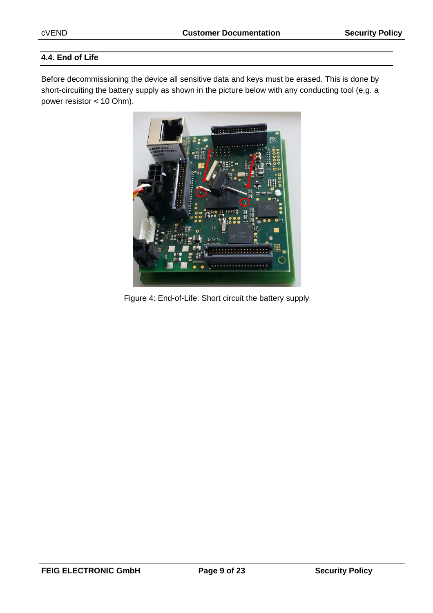## **4.4. End of Life**

Before decommissioning the device all sensitive data and keys must be erased. This is done by short-circuiting the battery supply as shown in the picture below with any conducting tool (e.g. a power resistor < 10 Ohm).



Figure 4: End-of-Life: Short circuit the battery supply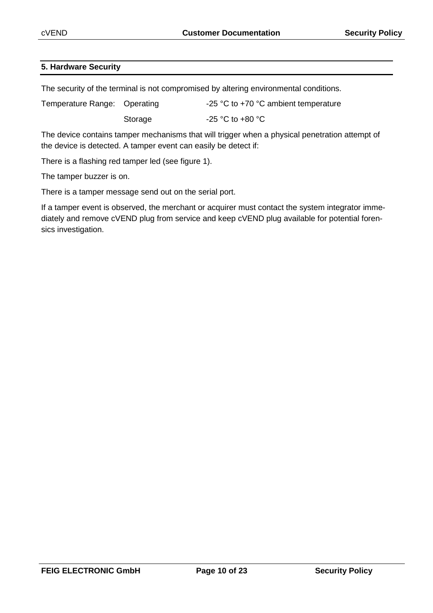#### **5. Hardware Security**

The security of the terminal is not compromised by altering environmental conditions.

| Temperature Range: Operating |         | -25 $\degree$ C to +70 $\degree$ C ambient temperature |
|------------------------------|---------|--------------------------------------------------------|
|                              | Storage | $-25$ °C to $+80$ °C                                   |

The device contains tamper mechanisms that will trigger when a physical penetration attempt of the device is detected. A tamper event can easily be detect if:

There is a flashing red tamper led (see figure 1).

The tamper buzzer is on.

There is a tamper message send out on the serial port.

If a tamper event is observed, the merchant or acquirer must contact the system integrator immediately and remove cVEND plug from service and keep cVEND plug available for potential forensics investigation.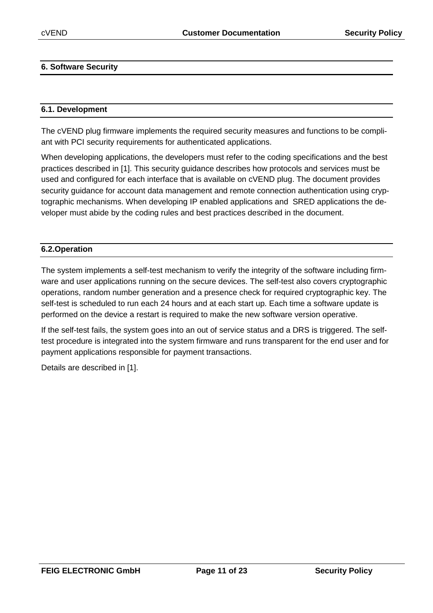#### **6. Software Security**

#### **6.1. Development**

The cVEND plug firmware implements the required security measures and functions to be compliant with PCI security requirements for authenticated applications.

When developing applications, the developers must refer to the coding specifications and the best practices described in [1]. This security guidance describes how protocols and services must be used and configured for each interface that is available on cVEND plug. The document provides security guidance for account data management and remote connection authentication using cryptographic mechanisms. When developing IP enabled applications and SRED applications the developer must abide by the coding rules and best practices described in the document.

#### **6.2.Operation**

The system implements a self-test mechanism to verify the integrity of the software including firmware and user applications running on the secure devices. The self-test also covers cryptographic operations, random number generation and a presence check for required cryptographic key. The self-test is scheduled to run each 24 hours and at each start up. Each time a software update is performed on the device a restart is required to make the new software version operative.

If the self-test fails, the system goes into an out of service status and a DRS is triggered. The selftest procedure is integrated into the system firmware and runs transparent for the end user and for payment applications responsible for payment transactions.

Details are described in [1].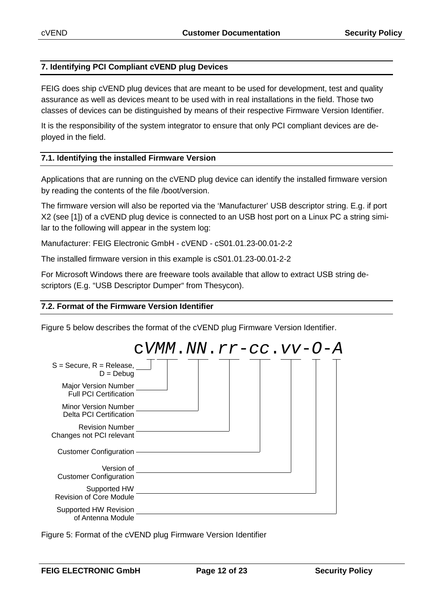#### **7. Identifying PCI Compliant cVEND plug Devices**

FEIG does ship cVEND plug devices that are meant to be used for development, test and quality assurance as well as devices meant to be used with in real installations in the field. Those two classes of devices can be distinguished by means of their respective Firmware Version Identifier.

It is the responsibility of the system integrator to ensure that only PCI compliant devices are deployed in the field.

#### **7.1. Identifying the installed Firmware Version**

Applications that are running on the cVEND plug device can identify the installed firmware version by reading the contents of the file /boot/version.

The firmware version will also be reported via the 'Manufacturer' USB descriptor string. E.g. if port X2 (see [1]) of a cVEND plug device is connected to an USB host port on a Linux PC a string similar to the following will appear in the system log:

Manufacturer: FEIG Electronic GmbH - cVEND - cS01.01.23-00.01-2-2

The installed firmware version in this example is cS01.01.23-00.01-2-2

For Microsoft Windows there are freeware tools available that allow to extract USB string descriptors (E.g. "USB Descriptor Dumper" from Thesycon).

#### **7.2. Format of the Firmware Version Identifier**

Figure 5 below describes the format of the cVEND plug Firmware Version Identifier.

|                                                        | $CVMM$ . $NN$ . $rr$ – $cc$ . $vv$ – $O$ – $A$ |  |
|--------------------------------------------------------|------------------------------------------------|--|
| $S =$ Secure, $R =$ Release,<br>$D = Debug$            |                                                |  |
| Major Version Number<br><b>Full PCI Certification</b>  |                                                |  |
| <b>Minor Version Number</b><br>Delta PCI Certification |                                                |  |
| <b>Revision Number</b><br>Changes not PCI relevant     |                                                |  |
| <b>Customer Configuration</b>                          |                                                |  |
| Version of<br><b>Customer Configuration</b>            |                                                |  |
| Supported HW<br><b>Revision of Core Module</b>         |                                                |  |
| Supported HW Revision<br>of Antenna Module             |                                                |  |

Figure 5: Format of the cVEND plug Firmware Version Identifier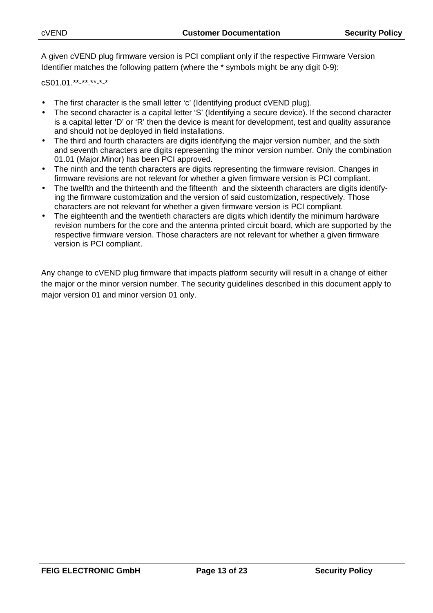A given cVEND plug firmware version is PCI compliant only if the respective Firmware Version Identifier matches the following pattern (where the \* symbols might be any digit 0-9):

cS01.01.\*\*-\*\*.\*\*-\*-\*

- The first character is the small letter 'c' (Identifying product cVEND plug).
- The second character is a capital letter 'S' (Identifying a secure device). If the second character is a capital letter 'D' or 'R' then the device is meant for development, test and quality assurance and should not be deployed in field installations.
- The third and fourth characters are digits identifying the major version number, and the sixth and seventh characters are digits representing the minor version number. Only the combination 01.01 (Major.Minor) has been PCI approved.
- The ninth and the tenth characters are digits representing the firmware revision. Changes in firmware revisions are not relevant for whether a given firmware version is PCI compliant.
- The twelfth and the thirteenth and the fifteenth and the sixteenth characters are digits identifying the firmware customization and the version of said customization, respectively. Those characters are not relevant for whether a given firmware version is PCI compliant.
- The eighteenth and the twentieth characters are digits which identify the minimum hardware revision numbers for the core and the antenna printed circuit board, which are supported by the respective firmware version. Those characters are not relevant for whether a given firmware version is PCI compliant.

Any change to cVEND plug firmware that impacts platform security will result in a change of either the major or the minor version number. The security guidelines described in this document apply to major version 01 and minor version 01 only.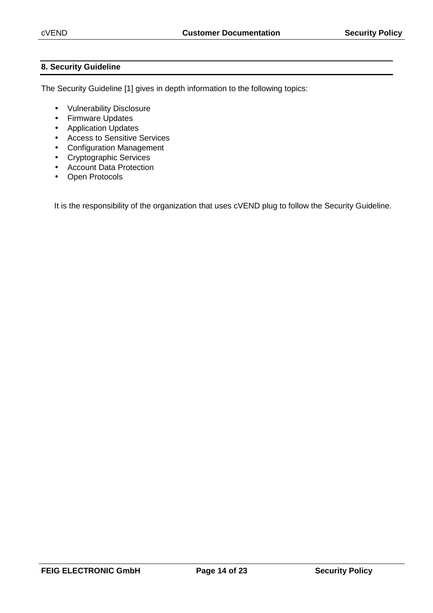## **8. Security Guideline**

The Security Guideline [1] gives in depth information to the following topics:

- Vulnerability Disclosure
- Firmware Updates
- Application Updates
- Access to Sensitive Services
- Configuration Management
- Cryptographic Services
- Account Data Protection
- Open Protocols

It is the responsibility of the organization that uses cVEND plug to follow the Security Guideline.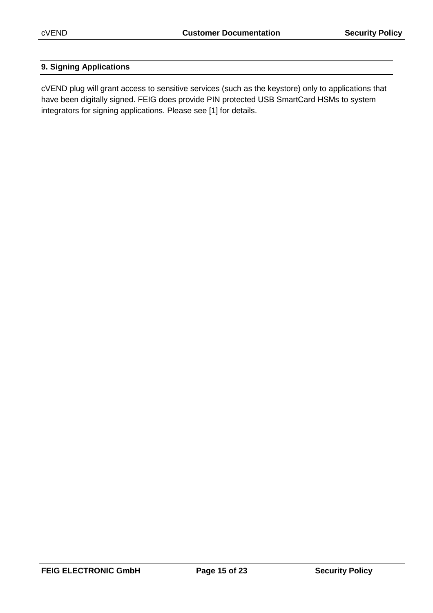## **9. Signing Applications**

cVEND plug will grant access to sensitive services (such as the keystore) only to applications that have been digitally signed. FEIG does provide PIN protected USB SmartCard HSMs to system integrators for signing applications. Please see [1] for details.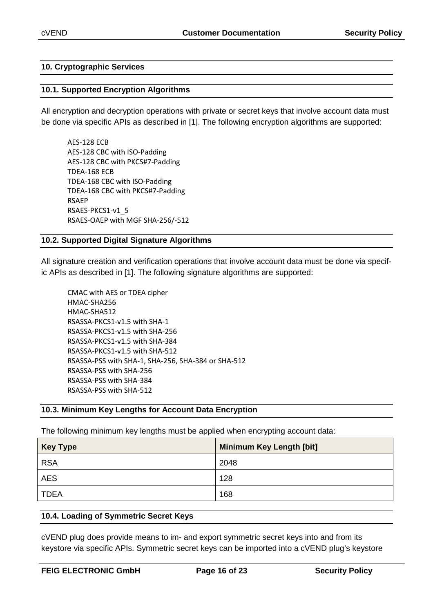#### **10. Cryptographic Services**

#### **10.1. Supported Encryption Algorithms**

All encryption and decryption operations with private or secret keys that involve account data must be done via specific APIs as described in [1]. The following encryption algorithms are supported:

AES-128 ECB AES-128 CBC with ISO-Padding AES-128 CBC with PKCS#7-Padding TDEA-168 ECB TDEA-168 CBC with ISO-Padding TDEA-168 CBC with PKCS#7-Padding RSAEP RSAES-PKCS1-v1\_5 RSAES-OAEP with MGF SHA-256/-512

#### **10.2. Supported Digital Signature Algorithms**

All signature creation and verification operations that involve account data must be done via specific APIs as described in [1]. The following signature algorithms are supported:

| CMAC with AES or TDEA cipher                       |  |
|----------------------------------------------------|--|
| HMAC-SHA256                                        |  |
| HMAC-SHA512                                        |  |
| RSASSA-PKCS1-v1.5 with SHA-1                       |  |
| RSASSA-PKCS1-v1.5 with SHA-256                     |  |
| RSASSA-PKCS1-v1.5 with SHA-384                     |  |
| RSASSA-PKCS1-v1.5 with SHA-512                     |  |
| RSASSA-PSS with SHA-1, SHA-256, SHA-384 or SHA-512 |  |
| RSASSA-PSS with SHA-256                            |  |
| RSASSA-PSS with SHA-384                            |  |
| RSASSA-PSS with SHA-512                            |  |
|                                                    |  |

#### **10.3. Minimum Key Lengths for Account Data Encryption**

The following minimum key lengths must be applied when encrypting account data:

| <b>Key Type</b> | <b>Minimum Key Length [bit]</b> |
|-----------------|---------------------------------|
| <b>RSA</b>      | 2048                            |
| <b>AES</b>      | 128                             |
| <b>TDEA</b>     | 168                             |

#### **10.4. Loading of Symmetric Secret Keys**

cVEND plug does provide means to im- and export symmetric secret keys into and from its keystore via specific APIs. Symmetric secret keys can be imported into a cVEND plug's keystore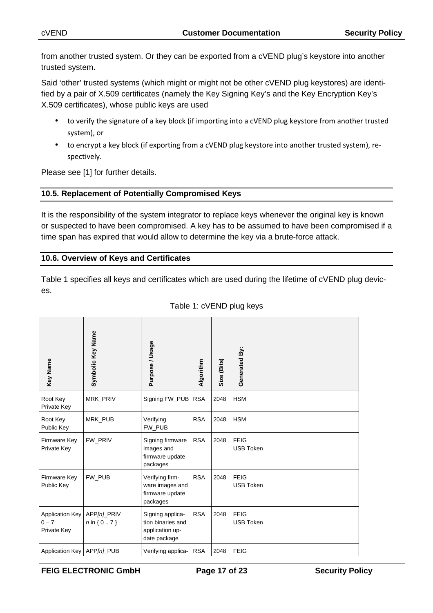from another trusted system. Or they can be exported from a cVEND plug's keystore into another trusted system.

Said 'other' trusted systems (which might or might not be other cVEND plug keystores) are identified by a pair of X.509 certificates (namely the Key Signing Key's and the Key Encryption Key's X.509 certificates), whose public keys are used

- to verify the signature of a key block (if importing into a cVEND plug keystore from another trusted system), or
- to encrypt a key block (if exporting from a cVEND plug keystore into another trusted system), respectively.

Please see [1] for further details.

### **10.5. Replacement of Potentially Compromised Keys**

It is the responsibility of the system integrator to replace keys whenever the original key is known or suspected to have been compromised. A key has to be assumed to have been compromised if a time span has expired that would allow to determine the key via a brute-force attack.

#### **10.6. Overview of Keys and Certificates**

Table 1 specifies all keys and certificates which are used during the lifetime of cVEND plug devices.

| Key Name                                         | Symbolic Key Name               | Purpose / Usage                                                          | Algorithm  | Size (Bits) | Generated By:                   |
|--------------------------------------------------|---------------------------------|--------------------------------------------------------------------------|------------|-------------|---------------------------------|
| Root Key<br>Private Key                          | <b>MRK PRIV</b>                 | Signing FW PUB                                                           | <b>RSA</b> | 2048        | <b>HSM</b>                      |
| Root Key<br>Public Key                           | <b>MRK PUB</b>                  | Verifying<br>FW PUB                                                      | <b>RSA</b> | 2048        | <b>HSM</b>                      |
| Firmware Key<br>Private Key                      | FW PRIV                         | Signing firmware<br>images and<br>firmware update<br>packages            | <b>RSA</b> | 2048        | <b>FEIG</b><br><b>USB Token</b> |
| Firmware Key<br>Public Key                       | FW PUB                          | Verifying firm-<br>ware images and<br>firmware update<br>packages        | <b>RSA</b> | 2048        | <b>FEIG</b><br><b>USB Token</b> |
| <b>Application Key</b><br>$0 - 7$<br>Private Key | APP[n]_PRIV<br>$n \in \{ 07 \}$ | Signing applica-<br>tion binaries and<br>application up-<br>date package | <b>RSA</b> | 2048        | <b>FEIG</b><br><b>USB Token</b> |
| Application Key   APP[n]_PUB                     |                                 | Verifying applica-                                                       | <b>RSA</b> | 2048        | <b>FEIG</b>                     |

### Table 1: cVEND plug keys

FEIG ELECTRONIC GmbH Page 17 of 23 Security Policy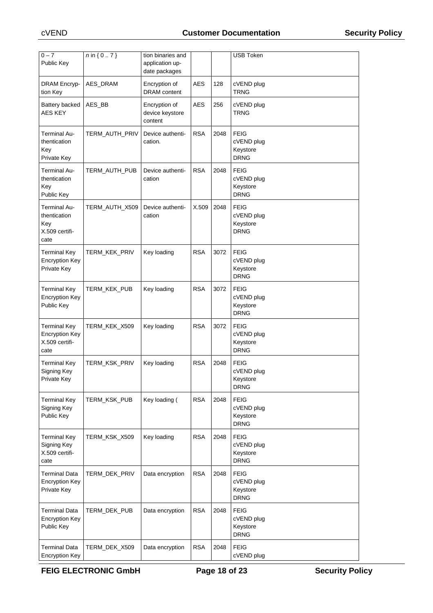| $0 - 7$                                                                |                |                                                       |            |      | <b>USB Token</b>                                     |
|------------------------------------------------------------------------|----------------|-------------------------------------------------------|------------|------|------------------------------------------------------|
| Public Key                                                             | $n \in \{07\}$ | tion binaries and<br>application up-<br>date packages |            |      |                                                      |
| <b>DRAM Encryp-</b><br>tion Key                                        | AES_DRAM       | Encryption of<br><b>DRAM</b> content                  | AES        | 128  | cVEND plug<br>TRNG                                   |
| Battery backed<br><b>AES KEY</b>                                       | AES_BB         | Encryption of<br>device keystore<br>content           | <b>AES</b> | 256  | cVEND plug<br>TRNG                                   |
| <b>Terminal Au-</b><br>thentication<br>Key<br>Private Key              | TERM_AUTH_PRIV | Device authenti-<br>cation.                           | <b>RSA</b> | 2048 | <b>FEIG</b><br>cVEND plug<br>Keystore<br><b>DRNG</b> |
| Terminal Au-<br>thentication<br>Key<br>Public Key                      | TERM_AUTH_PUB  | Device authenti-<br>cation                            | <b>RSA</b> | 2048 | <b>FEIG</b><br>cVEND plug<br>Keystore<br><b>DRNG</b> |
| Terminal Au-<br>thentication<br>Key<br>X.509 certifi-<br>cate          | TERM_AUTH_X509 | Device authenti-<br>cation                            | X.509      | 2048 | <b>FEIG</b><br>cVEND plug<br>Keystore<br><b>DRNG</b> |
| <b>Terminal Key</b><br><b>Encryption Key</b><br>Private Key            | TERM_KEK_PRIV  | Key loading                                           | <b>RSA</b> | 3072 | <b>FEIG</b><br>cVEND plug<br>Keystore<br><b>DRNG</b> |
| <b>Terminal Key</b><br><b>Encryption Key</b><br>Public Key             | TERM_KEK_PUB   | Key loading                                           | <b>RSA</b> | 3072 | <b>FEIG</b><br>cVEND plug<br>Keystore<br><b>DRNG</b> |
| <b>Terminal Key</b><br><b>Encryption Key</b><br>X.509 certifi-<br>cate | TERM_KEK_X509  | Key loading                                           | <b>RSA</b> | 3072 | <b>FEIG</b><br>cVEND plug<br>Keystore<br><b>DRNG</b> |
| <b>Terminal Key</b><br>Signing Key<br>Private Key                      | TERM_KSK_PRIV  | Key loading                                           | <b>RSA</b> | 2048 | <b>FEIG</b><br>cVEND plug<br>Keystore<br><b>DRNG</b> |
| <b>Terminal Key</b><br>Signing Key<br>Public Key                       | TERM KSK PUB   | Key loading (                                         | <b>RSA</b> | 2048 | <b>FEIG</b><br>cVEND plug<br>Keystore<br><b>DRNG</b> |
| <b>Terminal Key</b><br>Signing Key<br>X.509 certifi-<br>cate           | TERM KSK X509  | Key loading                                           | <b>RSA</b> | 2048 | <b>FEIG</b><br>cVEND plug<br>Keystore<br><b>DRNG</b> |
| <b>Terminal Data</b><br><b>Encryption Key</b><br>Private Key           | TERM_DEK_PRIV  | Data encryption                                       | <b>RSA</b> | 2048 | <b>FEIG</b><br>cVEND plug<br>Keystore<br><b>DRNG</b> |
| <b>Terminal Data</b><br><b>Encryption Key</b><br>Public Key            | TERM_DEK_PUB   | Data encryption                                       | <b>RSA</b> | 2048 | <b>FEIG</b><br>cVEND plug<br>Keystore<br><b>DRNG</b> |
| <b>Terminal Data</b><br><b>Encryption Key</b>                          | TERM_DEK_X509  | Data encryption                                       | <b>RSA</b> | 2048 | <b>FEIG</b><br>cVEND plug                            |

FEIG ELECTRONIC GmbH Page 18 of 23 Security Policy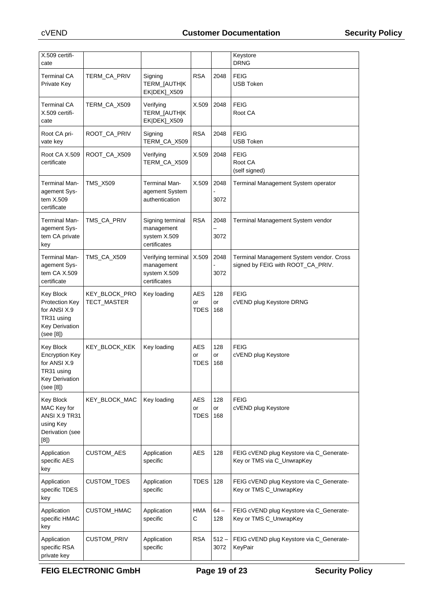| X.509 certifi-<br>cate                                                                                 |                              |                                                                  |                                 |                  | Keystore<br><b>DRNG</b>                                                       |
|--------------------------------------------------------------------------------------------------------|------------------------------|------------------------------------------------------------------|---------------------------------|------------------|-------------------------------------------------------------------------------|
| Terminal CA<br>Private Key                                                                             | TERM_CA_PRIV                 | Signing<br>TERM_[AUTH K<br>EK DEK]_X509                          | <b>RSA</b>                      | 2048             | <b>FEIG</b><br>USB Token                                                      |
| Terminal CA<br>X.509 certifi-<br>cate                                                                  | TERM_CA_X509                 | Verifying<br>TERM_[AUTH K<br>EK DEK]_X509                        | X.509                           | 2048             | <b>FEIG</b><br>Root CA                                                        |
| Root CA pri-<br>vate key                                                                               | ROOT_CA_PRIV                 | Signing<br>TERM CA X509                                          | <b>RSA</b>                      | 2048             | <b>FEIG</b><br>USB Token                                                      |
| Root CA X.509<br>certificate                                                                           | ROOT_CA_X509                 | Verifying<br>TERM_CA_X509                                        | X.509                           | 2048             | <b>FEIG</b><br>Root CA<br>(self signed)                                       |
| Terminal Man-<br>agement Sys-<br>tem X.509<br>certificate                                              | <b>TMS_X509</b>              | Terminal Man-<br>agement System<br>authentication                | X.509                           | 2048<br>3072     | Terminal Management System operator                                           |
| Terminal Man-<br>agement Sys-<br>tem CA private<br>key                                                 | TMS_CA_PRIV                  | Signing terminal<br>management<br>system X.509<br>certificates   | <b>RSA</b>                      | 2048<br>3072     | Terminal Management System vendor                                             |
| Terminal Man-<br>agement Sys-<br>tem CA X.509<br>certificate                                           | TMS_CA_X509                  | Verifying terminal<br>management<br>system X.509<br>certificates | X.509                           | 2048<br>3072     | Terminal Management System vendor. Cross<br>signed by FEIG with ROOT_CA_PRIV. |
| Key Block<br>Protection Key<br>for ANSI X.9<br>TR31 using<br><b>Key Derivation</b><br>(see [8])        | KEY_BLOCK_PRO<br>TECT_MASTER | Key loading                                                      | AES<br>or<br>TDES               | 128<br>or<br>168 | FEIG<br>cVEND plug Keystore DRNG                                              |
| Key Block<br><b>Encryption Key</b><br>for ANSI X.9<br>TR31 using<br><b>Key Derivation</b><br>(see [8]) | KEY_BLOCK_KEK                | Key loading                                                      | <b>AES</b><br>or<br><b>TDES</b> | 128<br>or<br>168 | <b>FEIG</b><br>cVEND plug Keystore                                            |
| Key Block<br>MAC Key for<br>ANSI X.9 TR31<br>using Key<br>Derivation (see<br>[8]                       | KEY_BLOCK_MAC                | Key loading                                                      | AES<br>or<br><b>TDES</b>        | 128<br>or<br>168 | <b>FEIG</b><br>cVEND plug Keystore                                            |
| Application<br>specific AES<br>key                                                                     | CUSTOM_AES                   | Application<br>specific                                          | <b>AES</b>                      | 128              | FEIG cVEND plug Keystore via C_Generate-<br>Key or TMS via C_UnwrapKey        |
| Application<br>specific TDES<br>key                                                                    | CUSTOM_TDES                  | Application<br>specific                                          | TDES                            | 128              | FEIG cVEND plug Keystore via C_Generate-<br>Key or TMS C_UnwrapKey            |
| Application<br>specific HMAC<br>key                                                                    | CUSTOM_HMAC                  | Application<br>specific                                          | <b>HMA</b><br>C                 | $64-$<br>128     | FEIG cVEND plug Keystore via C_Generate-<br>Key or TMS C_UnwrapKey            |
| Application<br>specific RSA<br>private key                                                             | CUSTOM_PRIV                  | Application<br>specific                                          | <b>RSA</b>                      | $512 -$<br>3072  | FEIG cVEND plug Keystore via C_Generate-<br>KeyPair                           |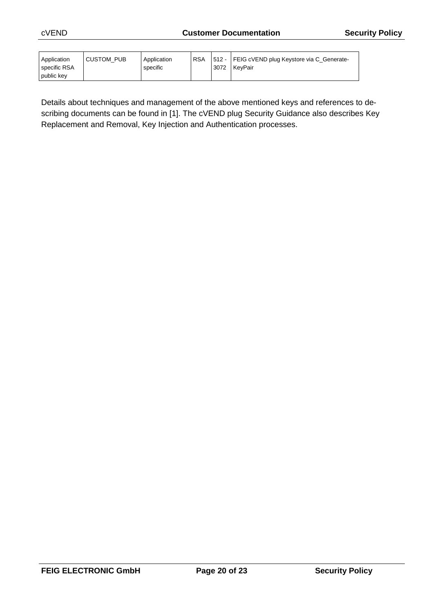| Application<br>specific RSA | <b>CUSTOM PUB</b> | Application<br>specific | <b>RSA</b> | 3072 | 512 - FEIG cVEND plug Keystore via C_Generate-<br><b>KevPair</b> |
|-----------------------------|-------------------|-------------------------|------------|------|------------------------------------------------------------------|
| public key                  |                   |                         |            |      |                                                                  |

Details about techniques and management of the above mentioned keys and references to describing documents can be found in [1]. The cVEND plug Security Guidance also describes Key Replacement and Removal, Key Injection and Authentication processes.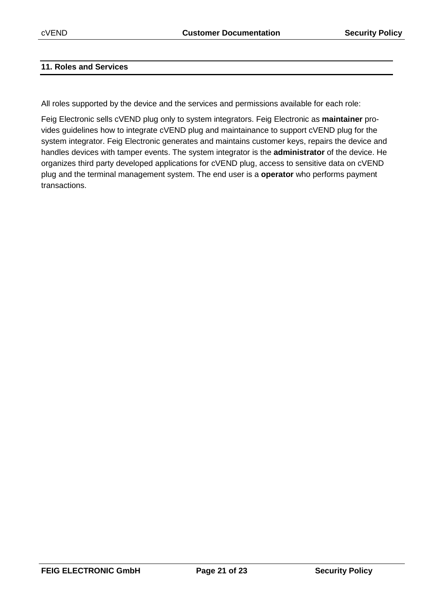#### **11. Roles and Services**

All roles supported by the device and the services and permissions available for each role:

Feig Electronic sells cVEND plug only to system integrators. Feig Electronic as **maintainer** provides guidelines how to integrate cVEND plug and maintainance to support cVEND plug for the system integrator. Feig Electronic generates and maintains customer keys, repairs the device and handles devices with tamper events. The system integrator is the **administrator** of the device. He organizes third party developed applications for cVEND plug, access to sensitive data on cVEND plug and the terminal management system. The end user is a **operator** who performs payment transactions.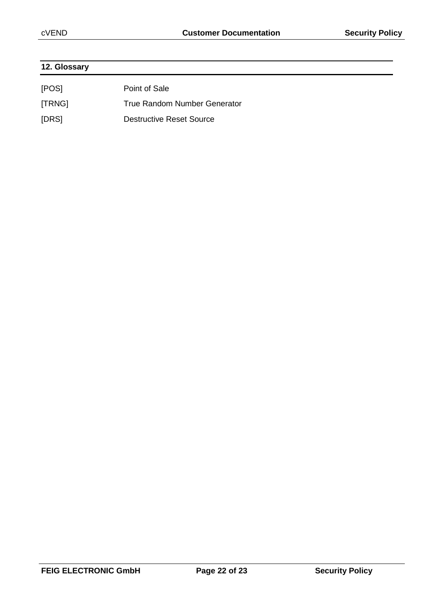| 12. Glossary |                                 |  |
|--------------|---------------------------------|--|
| [POS]        | Point of Sale                   |  |
| [TRNG]       | True Random Number Generator    |  |
| [DRS]        | <b>Destructive Reset Source</b> |  |